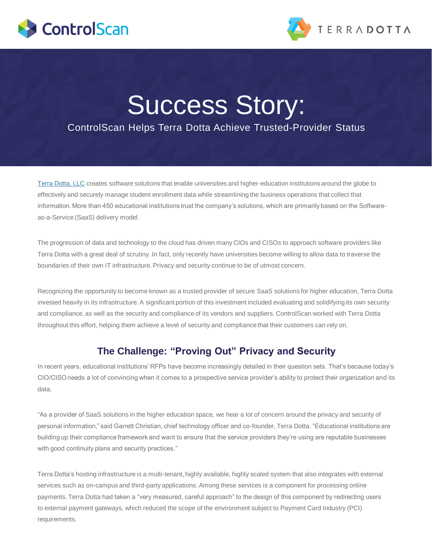



# Success Story:

## ControlScan Helps Terra Dotta Achieve Trusted-Provider Status

[Terra Dotta, LLC](http://www.terradotta.com/) creates software solutions that enable universities and higher-education institutions around the globe to effectively and securely manage student enrollment data while streamlining the business operations that collect that information. More than 450 educational institutions trust the company's solutions, which are primarily based on the Softwareas-a-Service (SaaS) delivery model.

The progression of data and technology to the cloud has driven many CIOs and CISOs to approach software providers like Terra Dotta with a great deal of scrutiny. In fact, only recently have universities become willing to allow data to traverse the boundaries of their own IT infrastructure. Privacy and security continue to be of utmost concern.

Recognizing the opportunity to become known as a trusted provider of secure SaaS solutions for higher education, Terra Dotta invested heavily in its infrastructure. A significant portion of this investment included evaluating and solidifying its own security and compliance, as well as the security and compliance of its vendors and suppliers. ControlScan worked with Terra Dotta throughout this effort, helping them achieve a level of security and compliance that their customers can rely on.

#### **The Challenge: "Proving Out" Privacy and Security**

In recent years, educational institutions' RFPs have become increasingly detailed in their question sets. That's because today's CIO/CISO needs a lot of convincing when it comes to a prospective service provider's ability to protect their organization and its data.

"As a provider of SaaS solutions in the higher education space, we hear a lot of concern around the privacy and security of personal information," said Garrett Christian, chief technology officer and co-founder, Terra Dotta. "Educational institutions are building up their compliance framework and want to ensure that the service providers they're using are reputable businesses with good continuity plans and security practices."

Terra Dotta's hosting infrastructure is a multi-tenant, highly available, highly scaled system that also integrates with external services such as on-campus and third-party applications. Among these services is a component for processing online payments. Terra Dotta had taken a "very measured, careful approach" to the design of this component by redirecting users to external payment gateways, which reduced the scope of the environment subject to Payment Card Industry (PCI) requirements.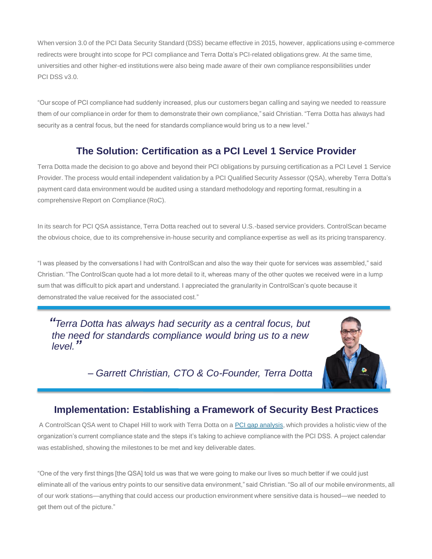When version 3.0 of the PCI Data Security Standard (DSS) became effective in 2015, however, applications using e-commerce redirects were brought into scope for PCI compliance and Terra Dotta's PCI-related obligations grew. At the same time, universities and other higher-ed institutions were also being made aware of their own compliance responsibilities under PCI DSS v3.0.

"Our scope of PCI compliance had suddenly increased, plus our customers began calling and saying we needed to reassure them of our compliance in order for them to demonstrate their own compliance," said Christian. "Terra Dotta has always had security as a central focus, but the need for standards compliance would bring us to a new level."

### **The Solution: Certification as a PCI Level 1 Service Provider**

Terra Dotta made the decision to go above and beyond their PCI obligations by pursuing certification as a PCI Level 1 Service Provider. The process would entail independent validation by a PCI Qualified Security Assessor (QSA), whereby Terra Dotta's payment card data environment would be audited using a standard methodology and reporting format, resulting in a comprehensive Report on Compliance (RoC).

In its search for PCI QSA assistance, Terra Dotta reached out to several U.S.-based service providers. ControlScan became the obvious choice, due to its comprehensive in-house security and compliance expertise as well as its pricing transparency.

"I was pleased by the conversations I had with ControlScan and also the way their quote for services was assembled," said Christian. "The ControlScan quote had a lot more detail to it, whereas many of the other quotes we received were in a lump sum that was difficult to pick apart and understand. I appreciated the granularity in ControlScan's quote because it demonstrated the value received for the associated cost."

*"Terra Dotta has always had security as a central focus, but the need for standards compliance would bring us to a new level."*



*– Garrett Christian, CTO & Co-Founder, Terra Dotta*

#### **Implementation: Establishing a Framework of Security Best Practices**

A ControlScan QSA went to Chapel Hill to work with Terra Dotta on a [PCI gap analysis](https://www.controlscan.com/compliance/pci-compliance-overview/pci-gap-analysis/), which provides a holistic view of the organization's current compliance state and the steps it's taking to achieve compliance with the PCI DSS. A project calendar was established, showing the milestones to be met and key deliverable dates.

"One of the very first things [the QSA] told us was that we were going to make our lives so much better if we could just eliminate all of the various entry points to our sensitive data environment," said Christian. "So all of our mobile environments, all of our work stations—anything that could access our production environment where sensitive data is housed—we needed to get them out of the picture."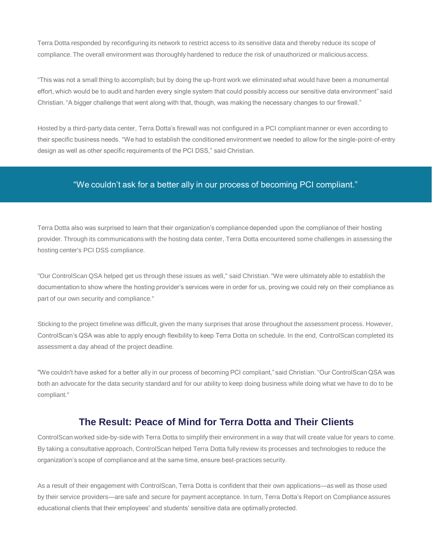Terra Dotta responded by reconfiguring its network to restrict access to its sensitive data and thereby reduce its scope of compliance. The overall environment was thoroughly hardened to reduce the risk of unauthorized or malicious access.

"This was not a small thing to accomplish; but by doing the up-front work we eliminated what would have been a monumental effort, which would be to audit and harden every single system that could possibly access our sensitive data environment" said Christian. "A bigger challenge that went along with that, though, was making the necessary changes to our firewall."

Hosted by a third-party data center, Terra Dotta's firewall was not configured in a PCI compliant manner or even according to their specific business needs. "We had to establish the conditioned environment we needed to allow for the single-point-of-entry design as well as other specific requirements of the PCI DSS," said Christian.

#### "We couldn't ask for a better ally in our process of becoming PCI compliant."

Terra Dotta also was surprised to learn that their organization's compliance depended upon the compliance of their hosting provider. Through its communications with the hosting data center, Terra Dotta encountered some challenges in assessing the hosting center's PCI DSS compliance.

"Our ControlScan QSA helped get us through these issues as well," said Christian. "We were ultimately able to establish the documentation to show where the hosting provider's services were in order for us, proving we could rely on their compliance as part of our own security and compliance."

Sticking to the project timeline was difficult, given the many surprises that arose throughout the assessment process. However, ControlScan's QSA was able to apply enough flexibility to keep Terra Dotta on schedule. In the end, ControlScan completed its assessment a day ahead of the project deadline.

"We couldn't have asked for a better ally in our process of becoming PCI compliant," said Christian. "Our ControlScan QSA was both an advocate for the data security standard and for our ability to keep doing business while doing what we have to do to be compliant."

#### **The Result: Peace of Mind for Terra Dotta and Their Clients**

ControlScan worked side-by-side with Terra Dotta to simplify their environment in a way that will create value for years to come. By taking a consultative approach, ControlScan helped Terra Dotta fully review its processes and technologies to reduce the organization's scope of compliance and at the same time, ensure best-practices security.

As a result of their engagement with ControlScan, Terra Dotta is confident that their own applications—as well as those used by their service providers—are safe and secure for payment acceptance. In turn, Terra Dotta's Report on Compliance assures educational clients that their employees' and students' sensitive data are optimally protected.